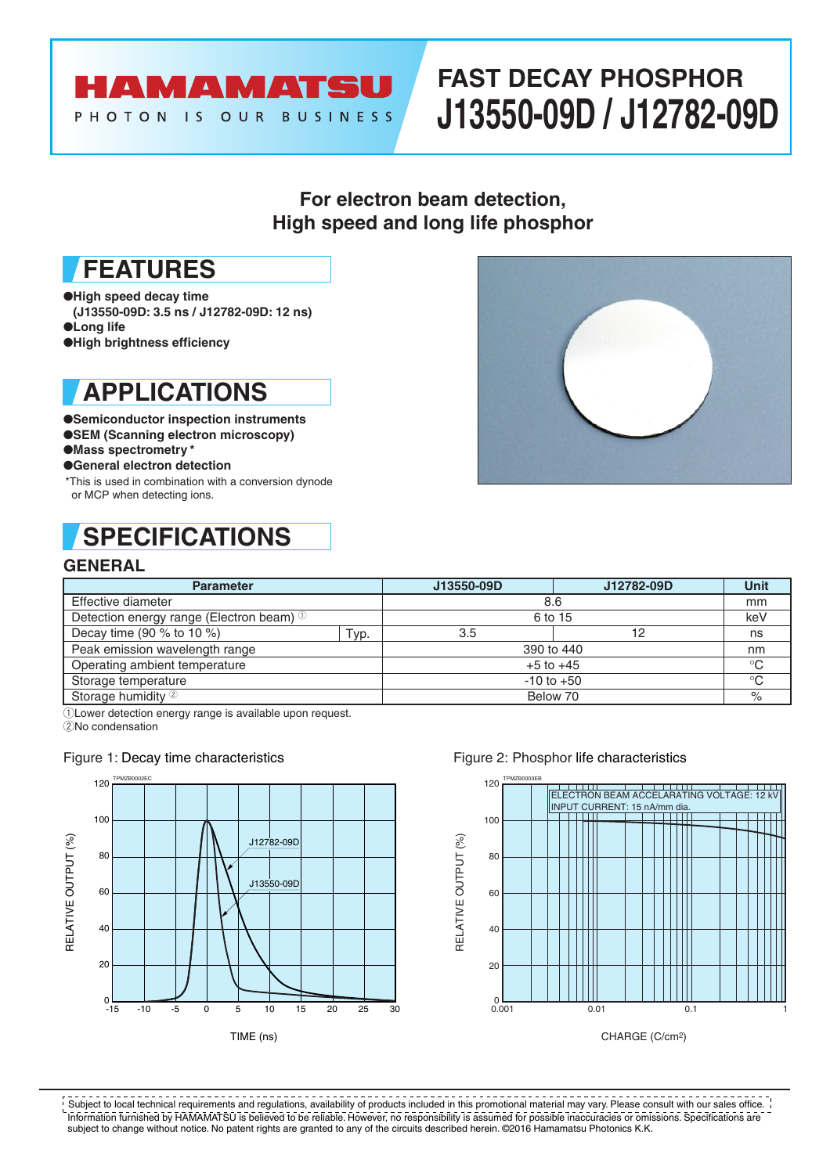## **AMAMATSU** PHOTON IS OUR BUSINESS

# **FAST DECAY PHOSPHOR J13550-09D / J12782-09D**

### **For electron beam detection, High speed and long life phosphor**

# **FEATURES**

- ●**High speed decay time**
- **(J13550-09D: 3.5 ns / J12782-09D: 12 ns)**
- ●**Long life**
- ●**High brightness efficiency**

# **APPLICATIONS**

- ●**Semiconductor inspection instruments**
- ●**SEM (Scanning electron microscopy)**
- ●**Mass spectrometry \***
- ●**General electron detection**
- \*This is used in combination with a conversion dynode or MCP when detecting ions.

# **SPECIFICATIONS**

### **GENERAL**



| <b>Parameter</b>                                    |      | J13550-09D     | J12782-09D | <b>Unit</b> |
|-----------------------------------------------------|------|----------------|------------|-------------|
| Effective diameter                                  |      | 8.6            |            | mm          |
| Detection energy range (Electron beam) <sup>1</sup> |      | 6 to 15        |            | keV         |
| Decay time (90 $%$ to 10 $%$ )                      | Typ. | 3.5            | 12         | ns          |
| Peak emission wavelength range                      |      | 390 to 440     |            | nm          |
| Operating ambient temperature                       |      | $+5$ to $+45$  |            | $^{\circ}C$ |
| Storage temperature                                 |      | $-10$ to $+50$ |            | $^{\circ}C$ |
| Storage humidity 2                                  |      | Below 70       |            | $\%$        |

 $\overline{1}$ Lower detection energy range is available upon request.

2No condensation

### Figure 1: Decay time characteristics



### Figure 2: Phosphor life characteristics



Information furnished by HAMAMATSU is believed to be reliable. However, no responsibility is assumed for possible inaccuracies or omissions. Specifications are subject to change without notice. No patent rights are granted to any of the circuits described herein. ©2016 Hamamatsu Photonics K.K. Subject to local technical requirements and regulations, availability of products included in this promotional material may vary. Please consult with our sales office.